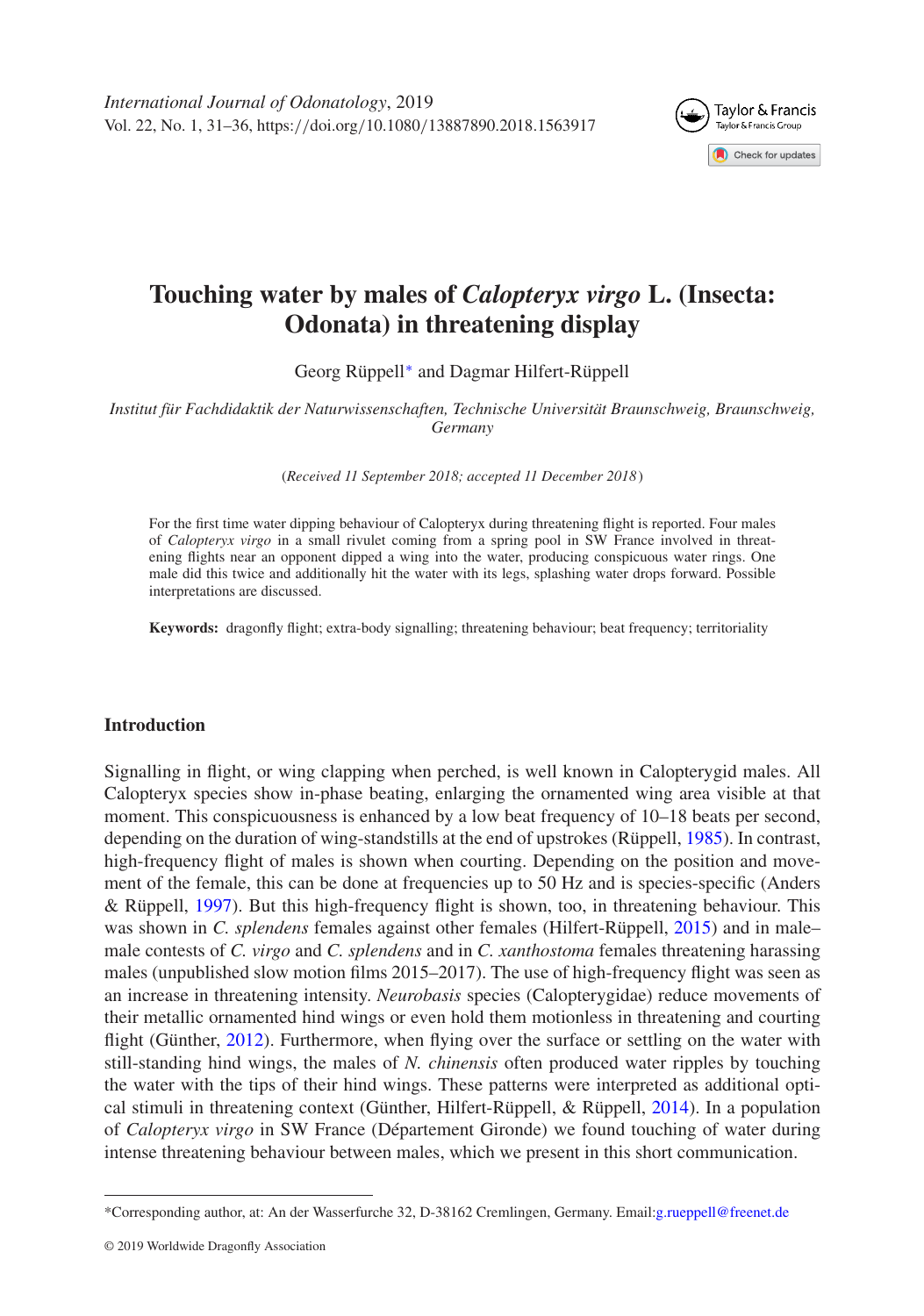

# **Touching water by males of** *Calopteryx virgo* **L. (Insecta: Odonata) in threatening display**

Georg Rüppell[∗](#page-0-0) and Dagmar Hilfert-Rüppell

*Institut für Fachdidaktik der Naturwissenschaften, Technische Universität Braunschweig, Braunschweig, Germany*

(*Received 11 September 2018; accepted 11 December 2018*)

For the first time water dipping behaviour of Calopteryx during threatening flight is reported. Four males of *Calopteryx virgo* in a small rivulet coming from a spring pool in SW France involved in threatening flights near an opponent dipped a wing into the water, producing conspicuous water rings. One male did this twice and additionally hit the water with its legs, splashing water drops forward. Possible interpretations are discussed.

**Keywords:** dragonfly flight; extra-body signalling; threatening behaviour; beat frequency; territoriality

## **Introduction**

Signalling in flight, or wing clapping when perched, is well known in Calopterygid males. All Calopteryx species show in-phase beating, enlarging the ornamented wing area visible at that moment. This conspicuousness is enhanced by a low beat frequency of 10–18 beats per second, depending on the duration of wing-standstills at the end of upstrokes (Rüppell, [1985\)](#page-5-0). In contrast, high-frequency flight of males is shown when courting. Depending on the position and movement of the female, this can be done at frequencies up to 50 Hz and is species-specific (Anders & Rüppell, [1997\)](#page-5-1). But this high-frequency flight is shown, too, in threatening behaviour. This was shown in *C. splendens* females against other females (Hilfert-Rüppell, [2015\)](#page-5-2) and in male– male contests of *C. virgo* and *C. splendens* and in *C. xanthostoma* females threatening harassing males (unpublished slow motion films 2015–2017). The use of high-frequency flight was seen as an increase in threatening intensity. *Neurobasis* species (Calopterygidae) reduce movements of their metallic ornamented hind wings or even hold them motionless in threatening and courting flight (Günther, [2012\)](#page-5-3). Furthermore, when flying over the surface or settling on the water with still-standing hind wings, the males of *N. chinensis* often produced water ripples by touching the water with the tips of their hind wings. These patterns were interpreted as additional optical stimuli in threatening context (Günther, Hilfert-Rüppell, & Rüppell, [2014\)](#page-5-4). In a population of *Calopteryx virgo* in SW France (Département Gironde) we found touching of water during intense threatening behaviour between males, which we present in this short communication.

<span id="page-0-0"></span><sup>\*</sup>Corresponding author, at: An der Wasserfurche 32, D-38162 Cremlingen, Germany. Email[:g.rueppell@freenet.de](mailto:g.rueppell@freenet.de)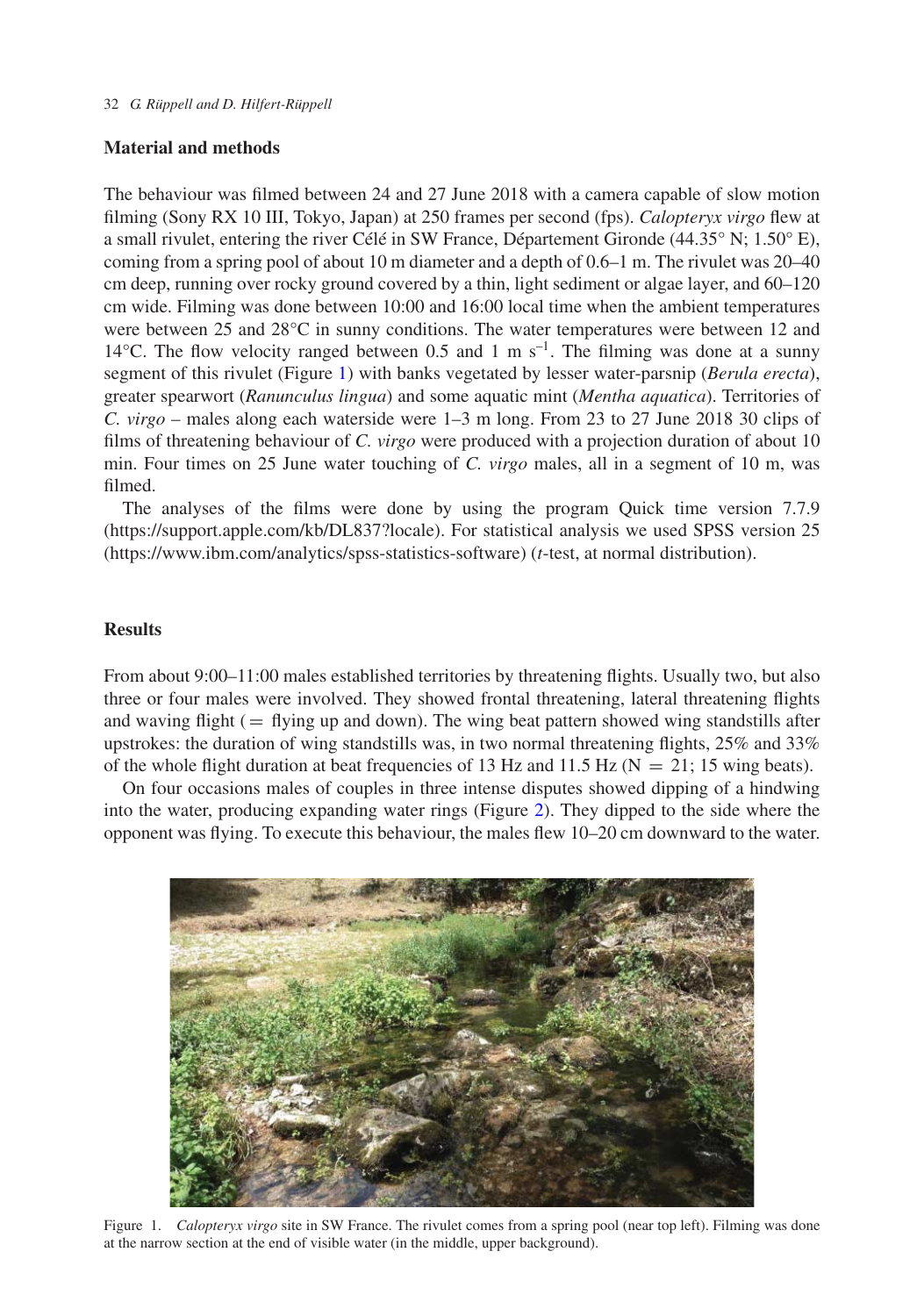## **Material and methods**

The behaviour was filmed between 24 and 27 June 2018 with a camera capable of slow motion filming (Sony RX 10 III, Tokyo, Japan) at 250 frames per second (fps). *Calopteryx virgo* flew at a small rivulet, entering the river Célé in SW France, Département Gironde  $(44.35^{\circ} N; 1.50^{\circ} E)$ , coming from a spring pool of about 10 m diameter and a depth of 0.6–1 m. The rivulet was 20–40 cm deep, running over rocky ground covered by a thin, light sediment or algae layer, and 60–120 cm wide. Filming was done between 10:00 and 16:00 local time when the ambient temperatures were between 25 and 28°C in sunny conditions. The water temperatures were between 12 and 14 $^{\circ}$ C. The flow velocity ranged between 0.5 and 1 m s<sup>-1</sup>. The filming was done at a sunny segment of this rivulet (Figure [1\)](#page-1-0) with banks vegetated by lesser water-parsnip (*Berula erecta*), greater spearwort (*Ranunculus lingua*) and some aquatic mint (*Mentha aquatica*). Territories of *C. virgo* – males along each waterside were 1–3 m long. From 23 to 27 June 2018 30 clips of films of threatening behaviour of *C. virgo* were produced with a projection duration of about 10 min. Four times on 25 June water touching of *C. virgo* males, all in a segment of 10 m, was filmed.

The analyses of the films were done by using the program Quick time version 7.7.9 (https://support.apple.com/kb/DL837?locale). For statistical analysis we used SPSS version 25 (https://www.ibm.com/analytics/spss-statistics-software) (*t*-test, at normal distribution).

# **Results**

From about 9:00–11:00 males established territories by threatening flights. Usually two, but also three or four males were involved. They showed frontal threatening, lateral threatening flights and waving flight  $($  = flying up and down). The wing beat pattern showed wing standstills after upstrokes: the duration of wing standstills was, in two normal threatening flights, 25% and 33% of the whole flight duration at beat frequencies of 13 Hz and 11.5 Hz ( $N = 21$ ; 15 wing beats).

On four occasions males of couples in three intense disputes showed dipping of a hindwing into the water, producing expanding water rings (Figure [2\)](#page-2-0). They dipped to the side where the opponent was flying. To execute this behaviour, the males flew 10–20 cm downward to the water.

<span id="page-1-0"></span>

Figure 1. *Calopteryx virgo* site in SW France. The rivulet comes from a spring pool (near top left). Filming was done at the narrow section at the end of visible water (in the middle, upper background).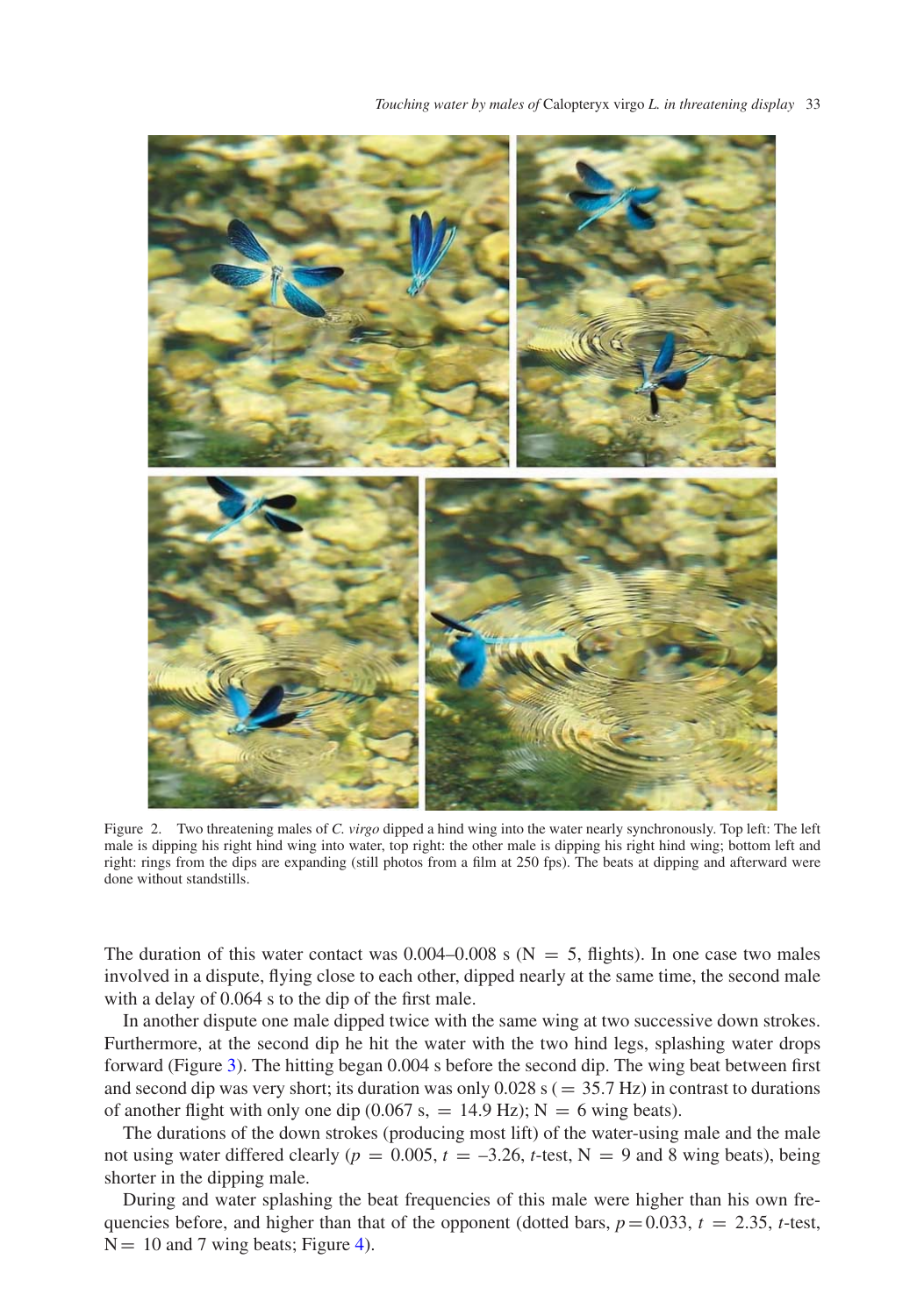*Touching water by males of* Calopteryx virgo *L. in threatening display* 33



Figure 2. Two threatening males of *C. virgo* dipped a hind wing into the water nearly synchronously. Top left: The left male is dipping his right hind wing into water, top right: the other male is dipping his right hind wing; bottom left and right: rings from the dips are expanding (still photos from a film at 250 fps). The beats at dipping and afterward were done without standstills.

<span id="page-2-0"></span>The duration of this water contact was  $0.004-0.008$  s (N = 5, flights). In one case two males involved in a dispute, flying close to each other, dipped nearly at the same time, the second male with a delay of 0.064 s to the dip of the first male.

In another dispute one male dipped twice with the same wing at two successive down strokes. Furthermore, at the second dip he hit the water with the two hind legs, splashing water drops forward (Figure [3\)](#page-3-0). The hitting began 0.004 s before the second dip. The wing beat between first and second dip was very short; its duration was only  $0.028$  s ( $= 35.7$  Hz) in contrast to durations of another flight with only one dip (0.067 s, = 14.9 Hz);  $N = 6$  wing beats).

The durations of the down strokes (producing most lift) of the water-using male and the male not using water differed clearly ( $p = 0.005$ ,  $t = -3.26$ ,  $t$ -test, N = 9 and 8 wing beats), being shorter in the dipping male.

During and water splashing the beat frequencies of this male were higher than his own frequencies before, and higher than that of the opponent (dotted bars,  $p = 0.033$ ,  $t = 2.35$ , *t*-test,  $N = 10$  and 7 wing beats; Figure [4\)](#page-3-1).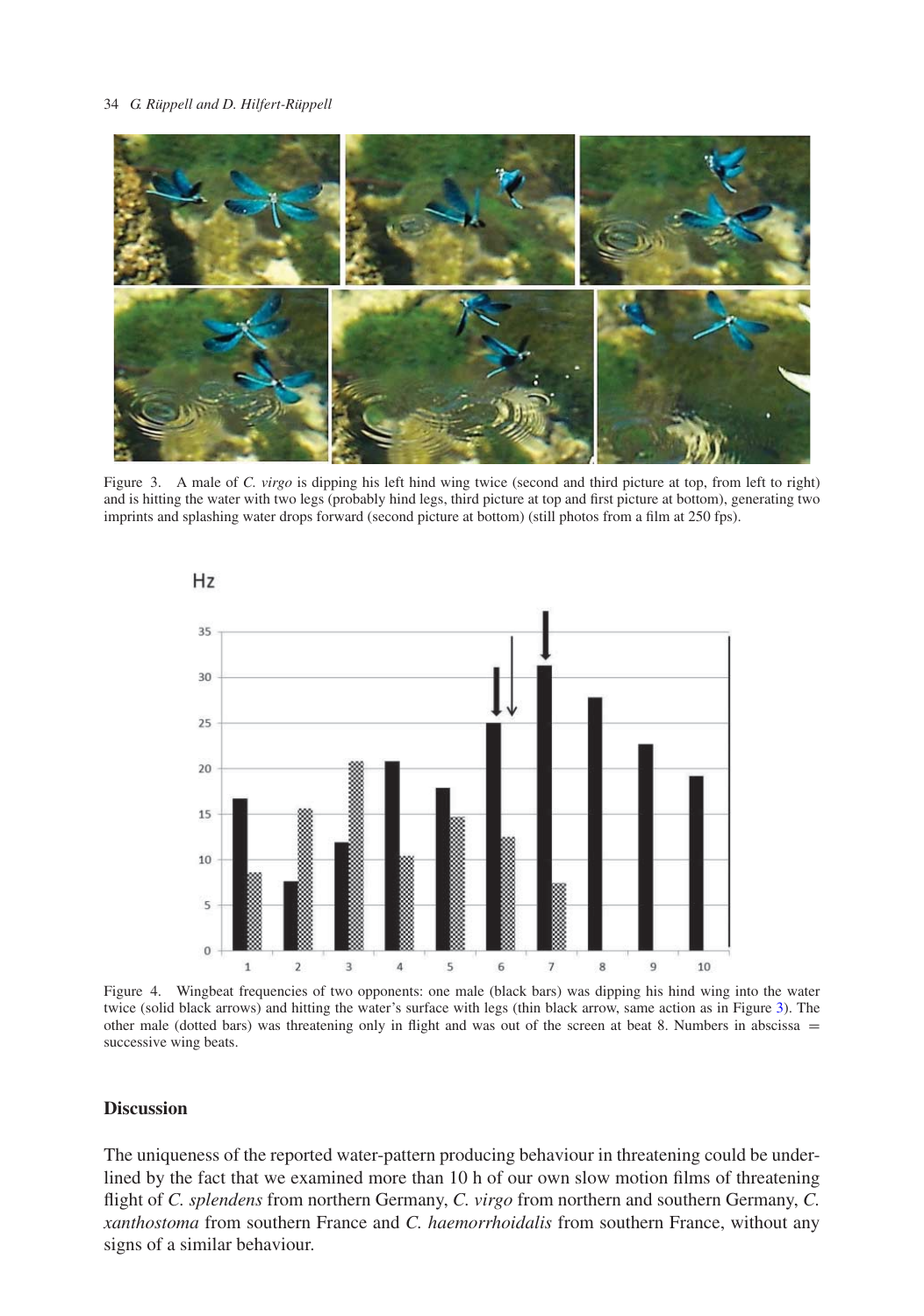#### 34 *G. Rüppell and D. Hilfert-Rüppell*



<span id="page-3-0"></span>Figure 3. A male of *C. virgo* is dipping his left hind wing twice (second and third picture at top, from left to right) and is hitting the water with two legs (probably hind legs, third picture at top and first picture at bottom), generating two imprints and splashing water drops forward (second picture at bottom) (still photos from a film at 250 fps).



<span id="page-3-1"></span>Figure 4. Wingbeat frequencies of two opponents: one male (black bars) was dipping his hind wing into the water twice (solid black arrows) and hitting the water's surface with legs (thin black arrow, same action as in Figure [3\)](#page-3-0). The other male (dotted bars) was threatening only in flight and was out of the screen at beat 8. Numbers in abscissa  $=$ successive wing beats.

## **Discussion**

The uniqueness of the reported water-pattern producing behaviour in threatening could be underlined by the fact that we examined more than 10 h of our own slow motion films of threatening flight of *C. splendens* from northern Germany, *C. virgo* from northern and southern Germany, *C. xanthostoma* from southern France and *C. haemorrhoidalis* from southern France, without any signs of a similar behaviour.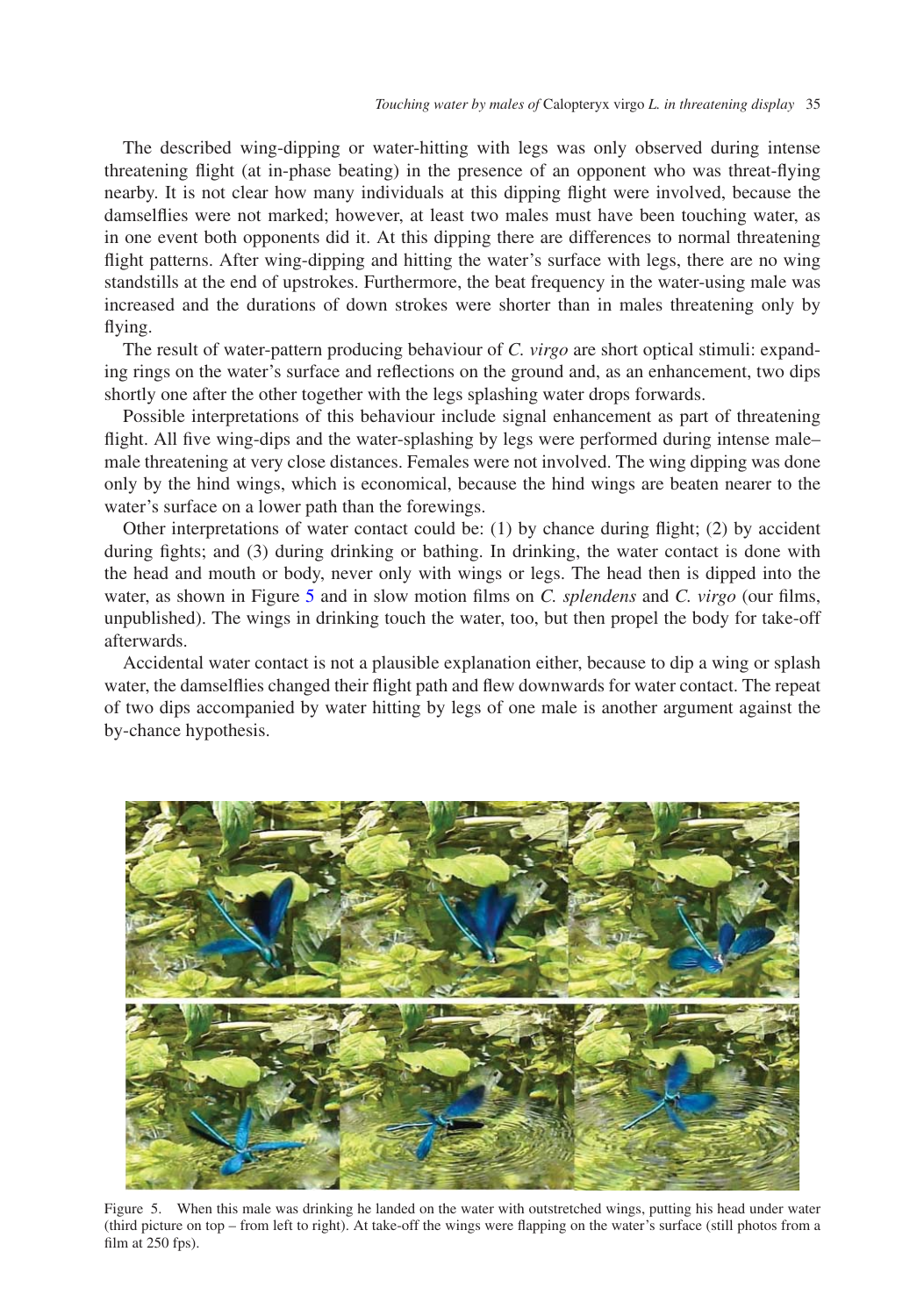The described wing-dipping or water-hitting with legs was only observed during intense threatening flight (at in-phase beating) in the presence of an opponent who was threat-flying nearby. It is not clear how many individuals at this dipping flight were involved, because the damselflies were not marked; however, at least two males must have been touching water, as in one event both opponents did it. At this dipping there are differences to normal threatening flight patterns. After wing-dipping and hitting the water's surface with legs, there are no wing standstills at the end of upstrokes. Furthermore, the beat frequency in the water-using male was increased and the durations of down strokes were shorter than in males threatening only by flying.

The result of water-pattern producing behaviour of *C. virgo* are short optical stimuli: expanding rings on the water's surface and reflections on the ground and, as an enhancement, two dips shortly one after the other together with the legs splashing water drops forwards.

Possible interpretations of this behaviour include signal enhancement as part of threatening flight. All five wing-dips and the water-splashing by legs were performed during intense male– male threatening at very close distances. Females were not involved. The wing dipping was done only by the hind wings, which is economical, because the hind wings are beaten nearer to the water's surface on a lower path than the forewings.

Other interpretations of water contact could be: (1) by chance during flight; (2) by accident during fights; and (3) during drinking or bathing. In drinking, the water contact is done with the head and mouth or body, never only with wings or legs. The head then is dipped into the water, as shown in Figure [5](#page-4-0) and in slow motion films on *C. splendens* and *C. virgo* (our films, unpublished). The wings in drinking touch the water, too, but then propel the body for take-off afterwards.

Accidental water contact is not a plausible explanation either, because to dip a wing or splash water, the damselflies changed their flight path and flew downwards for water contact. The repeat of two dips accompanied by water hitting by legs of one male is another argument against the by-chance hypothesis.

<span id="page-4-0"></span>

Figure 5. When this male was drinking he landed on the water with outstretched wings, putting his head under water (third picture on top – from left to right). At take-off the wings were flapping on the water's surface (still photos from a film at  $250$  fps).